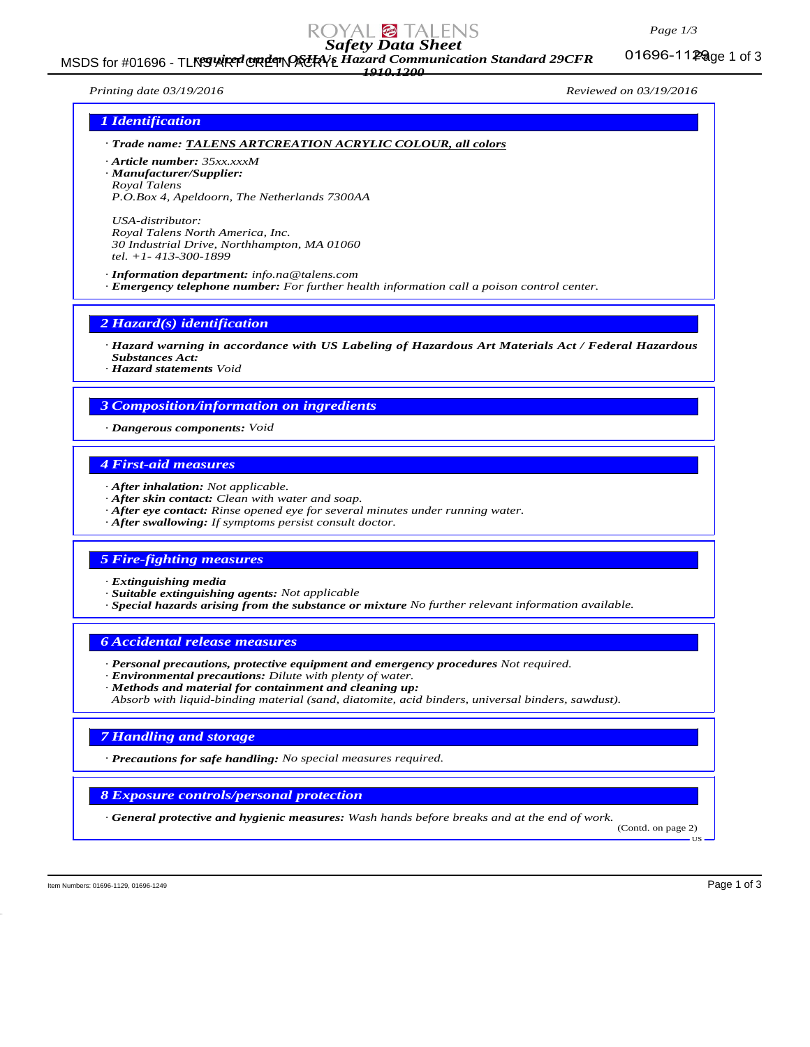### *Page 1/3*

# *Safety Data Sheet*

MSDS for #01696 - TLNGWRTURETNACKYE Hazard Communication Standard 29CFR 01696-11Page 1 of 3 *1910.1200*

01696-1129 age 1 of 3

*Printing date 03/19/2016 Reviewed on 03/19/2016*

### *1 Identification*

*· Trade name: TALENS ARTCREATION ACRYLIC COLOUR, all colors*

*· Article number: 35xx.xxxM · Manufacturer/Supplier: Royal Talens*

*P.O.Box 4, Apeldoorn, The Netherlands 7300AA*

*USA-distributor: Royal Talens North America, Inc. 30 Industrial Drive, Northhampton, MA 01060 tel. +1- 413-300-1899*

*· Information department: info.na@talens.com · Emergency telephone number: For further health information call a poison control center.*

*2 Hazard(s) identification*

*· Hazard warning in accordance with US Labeling of Hazardous Art Materials Act / Federal Hazardous Substances Act:*

*· Hazard statements Void*

### *3 Composition/information on ingredients*

*· Dangerous components: Void*

### *4 First-aid measures*

- *· After inhalation: Not applicable.*
- *· After skin contact: Clean with water and soap.*
- *· After eye contact: Rinse opened eye for several minutes under running water.*
- *· After swallowing: If symptoms persist consult doctor.*

### *5 Fire-fighting measures*

*· Extinguishing media*

*· Suitable extinguishing agents: Not applicable*

*· Special hazards arising from the substance or mixture No further relevant information available.*

*6 Accidental release measures*

- *· Personal precautions, protective equipment and emergency procedures Not required.*
- *· Environmental precautions: Dilute with plenty of water.*

*· Methods and material for containment and cleaning up: Absorb with liquid-binding material (sand, diatomite, acid binders, universal binders, sawdust).*

### *7 Handling and storage*

*· Precautions for safe handling: No special measures required.*

*8 Exposure controls/personal protection*

*· General protective and hygienic measures: Wash hands before breaks and at the end of work.*

(Contd. on page 2) US

Item Numbers: 01696-1129, 01696-1129 and the set of 3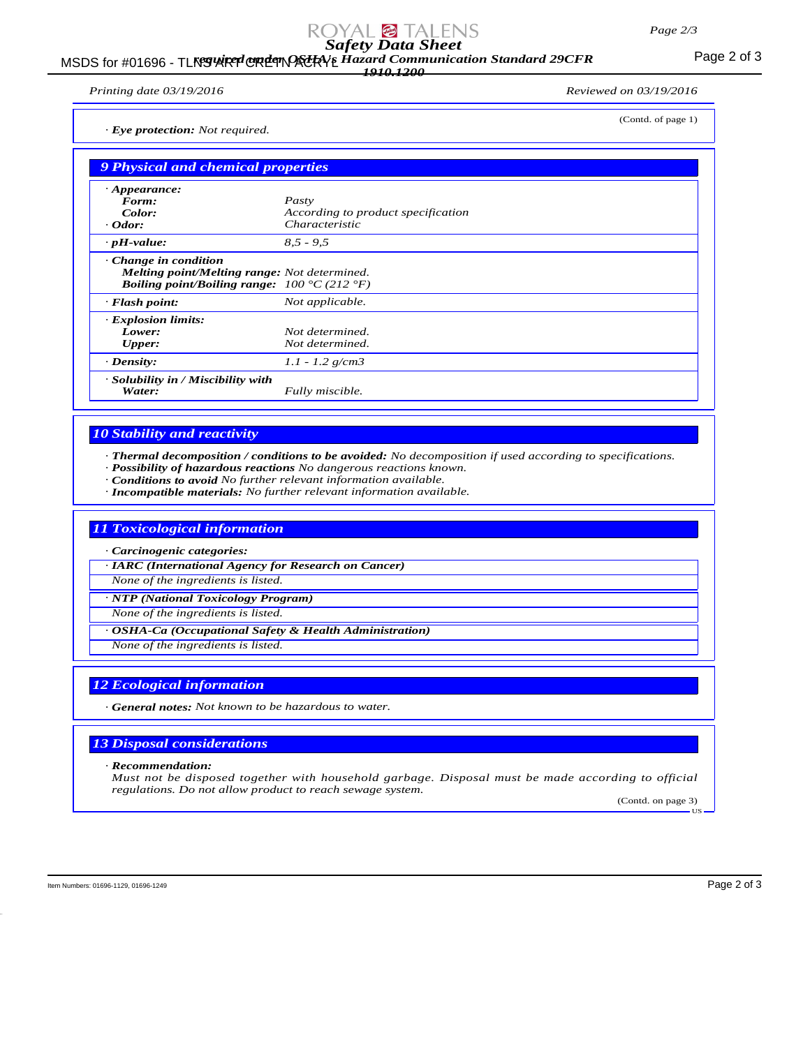# *Safety Data Sheet*

### MSDS for #01696 - TLNS WRT CRETN ACRYL Hazard Communication Standard 29CFR<br>MSDS for #01696 - TLNS WRT CRETTING *1910.1200*

*Printing date 03/19/2016 Reviewed on 03/19/2016*

(Contd. of page 1)

*· Eye protection: Not required.*

| 9 Physical and chemical properties |                                                                                                                            |  |
|------------------------------------|----------------------------------------------------------------------------------------------------------------------------|--|
| $\cdot$ Appearance:                |                                                                                                                            |  |
| Form:                              | Pasty                                                                                                                      |  |
| Color:                             | According to product specification                                                                                         |  |
| $\cdot$ Odor:                      | Characteristic                                                                                                             |  |
| $\cdot$ pH-value:                  | $8.5 - 9.5$                                                                                                                |  |
| $\cdot$ Change in condition        | <b>Melting point/Melting range:</b> Not determined.<br><i>Boiling point/Boiling range:</i> $100 \degree C (212 \degree F)$ |  |
| $\cdot$ Flash point:               | Not applicable.                                                                                                            |  |
| · Explosion limits:                |                                                                                                                            |  |
| Lower:                             | Not determined.                                                                                                            |  |
| <b>Upper:</b>                      | Not determined.                                                                                                            |  |
| $\cdot$ Density:                   | $1.1 - 1.2$ g/cm3                                                                                                          |  |
| · Solubility in / Miscibility with |                                                                                                                            |  |
| Water:                             | Fully miscible.                                                                                                            |  |

## *10 Stability and reactivity*

*· Thermal decomposition / conditions to be avoided: No decomposition if used according to specifications.*

*· Possibility of hazardous reactions No dangerous reactions known.*

*· Conditions to avoid No further relevant information available.*

*· Incompatible materials: No further relevant information available.*

### *11 Toxicological information*

*· Carcinogenic categories:*

*· IARC (International Agency for Research on Cancer)*

*None of the ingredients is listed.*

*· NTP (National Toxicology Program)*

*None of the ingredients is listed.*

*· OSHA-Ca (Occupational Safety & Health Administration)*

*None of the ingredients is listed.*

## *12 Ecological information*

*· General notes: Not known to be hazardous to water.*

### *13 Disposal considerations*

*· Recommendation:*

*Must not be disposed together with household garbage. Disposal must be made according to official regulations. Do not allow product to reach sewage system.*

(Contd. on page 3) US